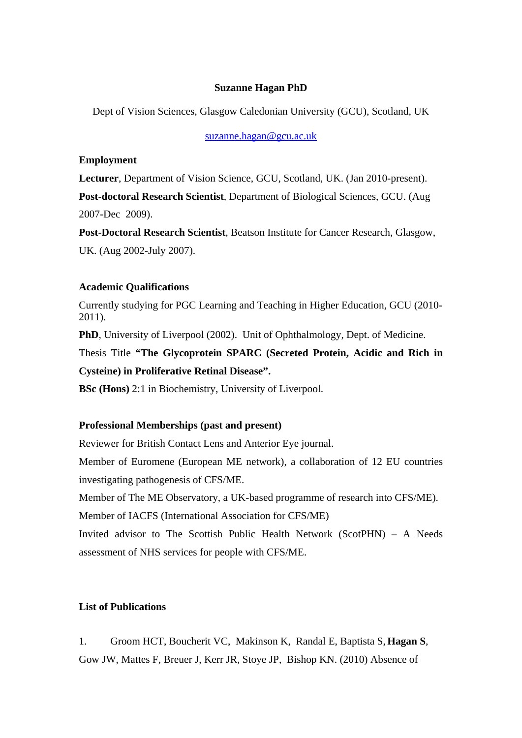## **Suzanne Hagan PhD**

Dept of Vision Sciences, Glasgow Caledonian University (GCU), Scotland, UK

[suzanne.hagan@gcu.ac.uk](mailto:suzanne.hagan@gcu.ac.uk)

## **Employment**

**Lecturer**, Department of Vision Science, GCU, Scotland, UK. (Jan 2010-present).

**Post-doctoral Research Scientist**, Department of Biological Sciences, GCU. (Aug

2007-Dec 2009).

**Post-Doctoral Research Scientist**, Beatson Institute for Cancer Research, Glasgow, UK. (Aug 2002-July 2007).

# **Academic Qualifications**

Currently studying for PGC Learning and Teaching in Higher Education, GCU (2010- 2011).

**PhD**, University of Liverpool (2002). Unit of Ophthalmology, Dept. of Medicine.

Thesis Title **"The Glycoprotein SPARC (Secreted Protein, Acidic and Rich in Cysteine) in Proliferative Retinal Disease".** 

**BSc (Hons)** 2:1 in Biochemistry, University of Liverpool.

#### **Professional Memberships (past and present)**

Reviewer for British Contact Lens and Anterior Eye journal.

Member of Euromene (European ME network), a collaboration of 12 EU countries investigating pathogenesis of CFS/ME.

Member of The ME Observatory, a UK-based programme of research into CFS/ME).

Member of IACFS (International Association for CFS/ME)

Invited advisor to The Scottish Public Health Network (ScotPHN) – A Needs assessment of NHS services for people with CFS/ME.

## **List of Publications**

1. Groom HCT, Boucherit VC, Makinson K, Randal E, Baptista S, **Hagan S**, Gow JW, Mattes F, Breuer J, Kerr JR, Stoye JP, Bishop KN. (2010) Absence of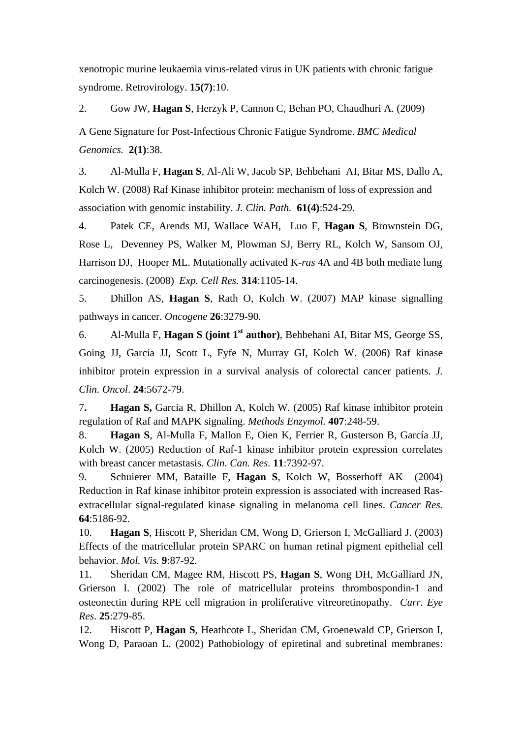xenotropic murine leukaemia virus-related virus in UK patients with chronic fatigue syndrome. Retrovirology. **15(7)**:10.

2. Gow JW, **Hagan S**, Herzyk P, Cannon C, Behan PO, Chaudhuri A. (2009)

A Gene Signature for Post-Infectious Chronic Fatigue Syndrome. *BMC Medical Genomics.* **2(1)**:38.

3. Al-Mulla F, **Hagan S**, Al-Ali W, Jacob SP, Behbehani AI, Bitar MS, Dallo A, Kolch W. (2008) Raf Kinase inhibitor protein: mechanism of loss of expression and association with genomic instability. *J. Clin. Path.* **61(4)**:524-29.

4. Patek CE, Arends MJ, Wallace WAH, Luo F, **Hagan S**, Brownstein DG, Rose L, Devenney PS, Walker M, Plowman SJ, Berry RL, Kolch W, Sansom OJ, Harrison DJ, Hooper ML. Mutationally activated K-*ras* 4A and 4B both mediate lung carcinogenesis. (2008) *Exp. Cell Res*. **314**:1105-14.

5. [Dhillon AS](http://www.ncbi.nlm.nih.gov/sites/entrez?Db=pubmed&Cmd=Search&Term=%22Dhillon%20AS%22%5BAuthor%5D&itool=EntrezSystem2.PEntrez.Pubmed.Pubmed_ResultsPanel.Pubmed_RVAbstractPlus), **[Hagan S](http://www.ncbi.nlm.nih.gov/sites/entrez?Db=pubmed&Cmd=Search&Term=%22Hagan%20S%22%5BAuthor%5D&itool=EntrezSystem2.PEntrez.Pubmed.Pubmed_ResultsPanel.Pubmed_RVAbstractPlus)**, [Rath O](http://www.ncbi.nlm.nih.gov/sites/entrez?Db=pubmed&Cmd=Search&Term=%22Rath%20O%22%5BAuthor%5D&itool=EntrezSystem2.PEntrez.Pubmed.Pubmed_ResultsPanel.Pubmed_RVAbstractPlus), [Kolch W](http://www.ncbi.nlm.nih.gov/sites/entrez?Db=pubmed&Cmd=Search&Term=%22Kolch%20W%22%5BAuthor%5D&itool=EntrezSystem2.PEntrez.Pubmed.Pubmed_ResultsPanel.Pubmed_RVAbstractPlus). (2007) MAP kinase signalling pathways in cancer. *Oncogene* **26**:3279-90.

6. [Al-Mulla F,](http://www.ncbi.nlm.nih.gov/sites/entrez?Db=pubmed&Cmd=Search&Term=%22Al-Mulla%20F%22%5BAuthor%5D&itool=EntrezSystem2.PEntrez.Pubmed.Pubmed_ResultsPanel.Pubmed_RVAbstractPlus) **[Hagan S](http://www.ncbi.nlm.nih.gov/sites/entrez?Db=pubmed&Cmd=Search&Term=%22Hagan%20S%22%5BAuthor%5D&itool=EntrezSystem2.PEntrez.Pubmed.Pubmed_ResultsPanel.Pubmed_RVAbstractPlus) (joint 1st author)**, [Behbehani AI,](http://www.ncbi.nlm.nih.gov/sites/entrez?Db=pubmed&Cmd=Search&Term=%22Behbehani%20AI%22%5BAuthor%5D&itool=EntrezSystem2.PEntrez.Pubmed.Pubmed_ResultsPanel.Pubmed_RVAbstractPlus) [Bitar MS,](http://www.ncbi.nlm.nih.gov/sites/entrez?Db=pubmed&Cmd=Search&Term=%22Bitar%20MS%22%5BAuthor%5D&itool=EntrezSystem2.PEntrez.Pubmed.Pubmed_ResultsPanel.Pubmed_RVAbstractPlus) [George SS](http://www.ncbi.nlm.nih.gov/sites/entrez?Db=pubmed&Cmd=Search&Term=%22George%20SS%22%5BAuthor%5D&itool=EntrezSystem2.PEntrez.Pubmed.Pubmed_ResultsPanel.Pubmed_RVAbstractPlus), [Going JJ](http://www.ncbi.nlm.nih.gov/sites/entrez?Db=pubmed&Cmd=Search&Term=%22Going%20JJ%22%5BAuthor%5D&itool=EntrezSystem2.PEntrez.Pubmed.Pubmed_ResultsPanel.Pubmed_RVAbstractPlus), [García JJ,](http://www.ncbi.nlm.nih.gov/sites/entrez?Db=pubmed&Cmd=Search&Term=%22Garc%C3%ADa%20JJ%22%5BAuthor%5D&itool=EntrezSystem2.PEntrez.Pubmed.Pubmed_ResultsPanel.Pubmed_RVAbstractPlus) [Scott L,](http://www.ncbi.nlm.nih.gov/sites/entrez?Db=pubmed&Cmd=Search&Term=%22Scott%20L%22%5BAuthor%5D&itool=EntrezSystem2.PEntrez.Pubmed.Pubmed_ResultsPanel.Pubmed_RVAbstractPlus) [Fyfe N,](http://www.ncbi.nlm.nih.gov/sites/entrez?Db=pubmed&Cmd=Search&Term=%22Fyfe%20N%22%5BAuthor%5D&itool=EntrezSystem2.PEntrez.Pubmed.Pubmed_ResultsPanel.Pubmed_RVAbstractPlus) [Murray GI](http://www.ncbi.nlm.nih.gov/sites/entrez?Db=pubmed&Cmd=Search&Term=%22Murray%20GI%22%5BAuthor%5D&itool=EntrezSystem2.PEntrez.Pubmed.Pubmed_ResultsPanel.Pubmed_RVAbstractPlus), [Kolch W.](http://www.ncbi.nlm.nih.gov/sites/entrez?Db=pubmed&Cmd=Search&Term=%22Kolch%20W%22%5BAuthor%5D&itool=EntrezSystem2.PEntrez.Pubmed.Pubmed_ResultsPanel.Pubmed_RVAbstractPlus) (2006) Raf kinase inhibitor protein expression in a survival analysis of colorectal cancer patients. *[J.](javascript:AL_get(this,%20)  [Clin. Oncol](javascript:AL_get(this,%20)*. **24**:5672-79.

7**. [Hagan S](http://www.ncbi.nlm.nih.gov/sites/entrez?Db=pubmed&Cmd=Search&Term=%22Hagan%20S%22%5BAuthor%5D&itool=EntrezSystem2.PEntrez.Pubmed.Pubmed_ResultsPanel.Pubmed_RVAbstractPlus),** [Garcia R,](http://www.ncbi.nlm.nih.gov/sites/entrez?Db=pubmed&Cmd=Search&Term=%22Garcia%20R%22%5BAuthor%5D&itool=EntrezSystem2.PEntrez.Pubmed.Pubmed_ResultsPanel.Pubmed_RVAbstractPlus) [Dhillon A,](http://www.ncbi.nlm.nih.gov/sites/entrez?Db=pubmed&Cmd=Search&Term=%22Dhillon%20A%22%5BAuthor%5D&itool=EntrezSystem2.PEntrez.Pubmed.Pubmed_ResultsPanel.Pubmed_RVAbstractPlus) [Kolch W](http://www.ncbi.nlm.nih.gov/sites/entrez?Db=pubmed&Cmd=Search&Term=%22Kolch%20W%22%5BAuthor%5D&itool=EntrezSystem2.PEntrez.Pubmed.Pubmed_ResultsPanel.Pubmed_RVAbstractPlus). (2005) Raf kinase inhibitor protein regulation of Raf and MAPK signaling. *[Methods Enzymol.](javascript:AL_get(this,%20)* **407**:248-59.

8. **[Hagan S](http://www.ncbi.nlm.nih.gov/sites/entrez?Db=pubmed&Cmd=Search&Term=%22Hagan%20S%22%5BAuthor%5D&itool=EntrezSystem2.PEntrez.Pubmed.Pubmed_ResultsPanel.Pubmed_RVAbstractPlus)**, [Al-Mulla F](http://www.ncbi.nlm.nih.gov/sites/entrez?Db=pubmed&Cmd=Search&Term=%22Al-Mulla%20F%22%5BAuthor%5D&itool=EntrezSystem2.PEntrez.Pubmed.Pubmed_ResultsPanel.Pubmed_RVAbstractPlus), [Mallon E,](http://www.ncbi.nlm.nih.gov/sites/entrez?Db=pubmed&Cmd=Search&Term=%22Mallon%20E%22%5BAuthor%5D&itool=EntrezSystem2.PEntrez.Pubmed.Pubmed_ResultsPanel.Pubmed_RVAbstractPlus) [Oien K,](http://www.ncbi.nlm.nih.gov/sites/entrez?Db=pubmed&Cmd=Search&Term=%22Oien%20K%22%5BAuthor%5D&itool=EntrezSystem2.PEntrez.Pubmed.Pubmed_ResultsPanel.Pubmed_RVAbstractPlus) [Ferrier R,](http://www.ncbi.nlm.nih.gov/sites/entrez?Db=pubmed&Cmd=Search&Term=%22Ferrier%20R%22%5BAuthor%5D&itool=EntrezSystem2.PEntrez.Pubmed.Pubmed_ResultsPanel.Pubmed_RVAbstractPlus) [Gusterson B,](http://www.ncbi.nlm.nih.gov/sites/entrez?Db=pubmed&Cmd=Search&Term=%22Gusterson%20B%22%5BAuthor%5D&itool=EntrezSystem2.PEntrez.Pubmed.Pubmed_ResultsPanel.Pubmed_RVAbstractPlus) [García JJ](http://www.ncbi.nlm.nih.gov/sites/entrez?Db=pubmed&Cmd=Search&Term=%22Garc%C3%ADa%20JJ%22%5BAuthor%5D&itool=EntrezSystem2.PEntrez.Pubmed.Pubmed_ResultsPanel.Pubmed_RVAbstractPlus), [Kolch W.](http://www.ncbi.nlm.nih.gov/sites/entrez?Db=pubmed&Cmd=Search&Term=%22Kolch%20W%22%5BAuthor%5D&itool=EntrezSystem2.PEntrez.Pubmed.Pubmed_ResultsPanel.Pubmed_RVAbstractPlus) (2005) Reduction of Raf-1 kinase inhibitor protein expression correlates with breast cancer metastasis. *[Clin. Can. Res.](javascript:AL_get(this,%20)* **11**:7392-97.

9. [Schuierer MM,](http://www.ncbi.nlm.nih.gov/sites/entrez?Db=pubmed&Cmd=Search&Term=%22Schuierer%20MM%22%5BAuthor%5D&itool=EntrezSystem2.PEntrez.Pubmed.Pubmed_ResultsPanel.Pubmed_RVAbstractPlus) [Bataille F](http://www.ncbi.nlm.nih.gov/sites/entrez?Db=pubmed&Cmd=Search&Term=%22Bataille%20F%22%5BAuthor%5D&itool=EntrezSystem2.PEntrez.Pubmed.Pubmed_ResultsPanel.Pubmed_RVAbstractPlus), **[Hagan S](http://www.ncbi.nlm.nih.gov/sites/entrez?Db=pubmed&Cmd=Search&Term=%22Hagan%20S%22%5BAuthor%5D&itool=EntrezSystem2.PEntrez.Pubmed.Pubmed_ResultsPanel.Pubmed_RVAbstractPlus)**, [Kolch W,](http://www.ncbi.nlm.nih.gov/sites/entrez?Db=pubmed&Cmd=Search&Term=%22Kolch%20W%22%5BAuthor%5D&itool=EntrezSystem2.PEntrez.Pubmed.Pubmed_ResultsPanel.Pubmed_RVAbstractPlus) [Bosserhoff AK](http://www.ncbi.nlm.nih.gov/sites/entrez?Db=pubmed&Cmd=Search&Term=%22Bosserhoff%20AK%22%5BAuthor%5D&itool=EntrezSystem2.PEntrez.Pubmed.Pubmed_ResultsPanel.Pubmed_RVAbstractPlus) (2004) Reduction in Raf kinase inhibitor protein expression is associated with increased Rasextracellular signal-regulated kinase signaling in melanoma cell lines. *[Cancer Res.](javascript:AL_get(this,%20)* **64**:5186-92.

10. **[Hagan S](http://www.ncbi.nlm.nih.gov/sites/entrez?Db=pubmed&Cmd=Search&Term=%22Hagan%20S%22%5BAuthor%5D&itool=EntrezSystem2.PEntrez.Pubmed.Pubmed_ResultsPanel.Pubmed_RVAbstractPlus)**, [Hiscott P,](http://www.ncbi.nlm.nih.gov/sites/entrez?Db=pubmed&Cmd=Search&Term=%22Hiscott%20P%22%5BAuthor%5D&itool=EntrezSystem2.PEntrez.Pubmed.Pubmed_ResultsPanel.Pubmed_RVAbstractPlus) [Sheridan CM,](http://www.ncbi.nlm.nih.gov/sites/entrez?Db=pubmed&Cmd=Search&Term=%22Sheridan%20CM%22%5BAuthor%5D&itool=EntrezSystem2.PEntrez.Pubmed.Pubmed_ResultsPanel.Pubmed_RVAbstractPlus) [Wong D,](http://www.ncbi.nlm.nih.gov/sites/entrez?Db=pubmed&Cmd=Search&Term=%22Wong%20D%22%5BAuthor%5D&itool=EntrezSystem2.PEntrez.Pubmed.Pubmed_ResultsPanel.Pubmed_RVAbstractPlus) [Grierson I,](http://www.ncbi.nlm.nih.gov/sites/entrez?Db=pubmed&Cmd=Search&Term=%22Grierson%20I%22%5BAuthor%5D&itool=EntrezSystem2.PEntrez.Pubmed.Pubmed_ResultsPanel.Pubmed_RVAbstractPlus) [McGalliard J.](http://www.ncbi.nlm.nih.gov/sites/entrez?Db=pubmed&Cmd=Search&Term=%22McGalliard%20J%22%5BAuthor%5D&itool=EntrezSystem2.PEntrez.Pubmed.Pubmed_ResultsPanel.Pubmed_RVAbstractPlus) (2003) Effects of the matricellular protein SPARC on human retinal pigment epithelial cell behavior. *[Mol. Vis.](javascript:AL_get(this,%20)* **9**:87-92.

11. [Sheridan CM](http://www.ncbi.nlm.nih.gov/sites/entrez?Db=pubmed&Cmd=Search&Term=%22Sheridan%20CM%22%5BAuthor%5D&itool=EntrezSystem2.PEntrez.Pubmed.Pubmed_ResultsPanel.Pubmed_RVAbstractPlus), [Magee RM,](http://www.ncbi.nlm.nih.gov/sites/entrez?Db=pubmed&Cmd=Search&Term=%22Magee%20RM%22%5BAuthor%5D&itool=EntrezSystem2.PEntrez.Pubmed.Pubmed_ResultsPanel.Pubmed_RVAbstractPlus) [Hiscott PS,](http://www.ncbi.nlm.nih.gov/sites/entrez?Db=pubmed&Cmd=Search&Term=%22Hiscott%20PS%22%5BAuthor%5D&itool=EntrezSystem2.PEntrez.Pubmed.Pubmed_ResultsPanel.Pubmed_RVAbstractPlus) **[Hagan S](http://www.ncbi.nlm.nih.gov/sites/entrez?Db=pubmed&Cmd=Search&Term=%22Hagan%20S%22%5BAuthor%5D&itool=EntrezSystem2.PEntrez.Pubmed.Pubmed_ResultsPanel.Pubmed_RVAbstractPlus)**, [Wong DH,](http://www.ncbi.nlm.nih.gov/sites/entrez?Db=pubmed&Cmd=Search&Term=%22Wong%20DH%22%5BAuthor%5D&itool=EntrezSystem2.PEntrez.Pubmed.Pubmed_ResultsPanel.Pubmed_RVAbstractPlus) [McGalliard JN](http://www.ncbi.nlm.nih.gov/sites/entrez?Db=pubmed&Cmd=Search&Term=%22McGalliard%20JN%22%5BAuthor%5D&itool=EntrezSystem2.PEntrez.Pubmed.Pubmed_ResultsPanel.Pubmed_RVAbstractPlus), [Grierson I.](http://www.ncbi.nlm.nih.gov/sites/entrez?Db=pubmed&Cmd=Search&Term=%22Grierson%20I%22%5BAuthor%5D&itool=EntrezSystem2.PEntrez.Pubmed.Pubmed_ResultsPanel.Pubmed_RVAbstractPlus) (2002) The role of matricellular proteins thrombospondin-1 and osteonectin during RPE cell migration in proliferative vitreoretinopathy. *[Curr. Eye](javascript:AL_get(this,%20)  [Res](javascript:AL_get(this,%20)*. **25**:279-85.

12. [Hiscott P](http://www.ncbi.nlm.nih.gov/sites/entrez?Db=pubmed&Cmd=Search&Term=%22Hiscott%20P%22%5BAuthor%5D&itool=EntrezSystem2.PEntrez.Pubmed.Pubmed_ResultsPanel.Pubmed_RVAbstractPlus), **[Hagan S](http://www.ncbi.nlm.nih.gov/sites/entrez?Db=pubmed&Cmd=Search&Term=%22Hagan%20S%22%5BAuthor%5D&itool=EntrezSystem2.PEntrez.Pubmed.Pubmed_ResultsPanel.Pubmed_RVAbstractPlus)**, [Heathcote L](http://www.ncbi.nlm.nih.gov/sites/entrez?Db=pubmed&Cmd=Search&Term=%22Heathcote%20L%22%5BAuthor%5D&itool=EntrezSystem2.PEntrez.Pubmed.Pubmed_ResultsPanel.Pubmed_RVAbstractPlus), [Sheridan CM,](http://www.ncbi.nlm.nih.gov/sites/entrez?Db=pubmed&Cmd=Search&Term=%22Sheridan%20CM%22%5BAuthor%5D&itool=EntrezSystem2.PEntrez.Pubmed.Pubmed_ResultsPanel.Pubmed_RVAbstractPlus) [Groenewald CP,](http://www.ncbi.nlm.nih.gov/sites/entrez?Db=pubmed&Cmd=Search&Term=%22Groenewald%20CP%22%5BAuthor%5D&itool=EntrezSystem2.PEntrez.Pubmed.Pubmed_ResultsPanel.Pubmed_RVAbstractPlus) [Grierson I](http://www.ncbi.nlm.nih.gov/sites/entrez?Db=pubmed&Cmd=Search&Term=%22Grierson%20I%22%5BAuthor%5D&itool=EntrezSystem2.PEntrez.Pubmed.Pubmed_ResultsPanel.Pubmed_RVAbstractPlus), [Wong D](http://www.ncbi.nlm.nih.gov/sites/entrez?Db=pubmed&Cmd=Search&Term=%22Wong%20D%22%5BAuthor%5D&itool=EntrezSystem2.PEntrez.Pubmed.Pubmed_ResultsPanel.Pubmed_RVAbstractPlus), [Paraoan L](http://www.ncbi.nlm.nih.gov/sites/entrez?Db=pubmed&Cmd=Search&Term=%22Paraoan%20L%22%5BAuthor%5D&itool=EntrezSystem2.PEntrez.Pubmed.Pubmed_ResultsPanel.Pubmed_RVAbstractPlus). (2002) Pathobiology of epiretinal and subretinal membranes: